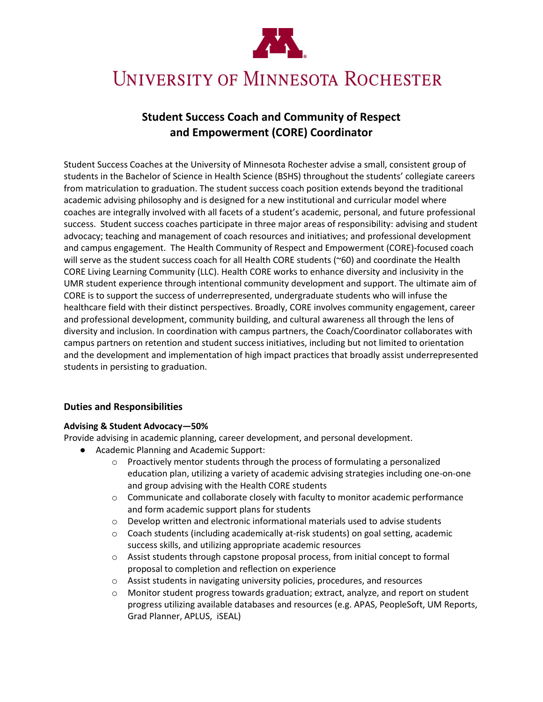

# UNIVERSITY OF MINNESOTA ROCHESTER

# **Student Success Coach and Community of Respect and Empowerment (CORE) Coordinator**

Student Success Coaches at the University of Minnesota Rochester advise a small, consistent group of students in the Bachelor of Science in Health Science (BSHS) throughout the students' collegiate careers from matriculation to graduation. The student success coach position extends beyond the traditional academic advising philosophy and is designed for a new institutional and curricular model where coaches are integrally involved with all facets of a student's academic, personal, and future professional success. Student success coaches participate in three major areas of responsibility: advising and student advocacy; teaching and management of coach resources and initiatives; and professional development and campus engagement. The Health Community of Respect and Empowerment (CORE)-focused coach will serve as the student success coach for all Health CORE students (~60) and coordinate the Health CORE Living Learning Community (LLC). Health CORE works to enhance diversity and inclusivity in the UMR student experience through intentional community development and support. The ultimate aim of CORE is to support the success of underrepresented, undergraduate students who will infuse the healthcare field with their distinct perspectives. Broadly, CORE involves community engagement, career and professional development, community building, and cultural awareness all through the lens of diversity and inclusion. In coordination with campus partners, the Coach/Coordinator collaborates with campus partners on retention and student success initiatives, including but not limited to orientation and the development and implementation of high impact practices that broadly assist underrepresented students in persisting to graduation.

# **Duties and Responsibilities**

#### **Advising & Student Advocacy—50%**

Provide advising in academic planning, career development, and personal development.

- Academic Planning and Academic Support:
	- o Proactively mentor students through the process of formulating a personalized education plan, utilizing a variety of academic advising strategies including one-on-one and group advising with the Health CORE students
	- $\circ$  Communicate and collaborate closely with faculty to monitor academic performance and form academic support plans for students
	- o Develop written and electronic informational materials used to advise students
	- $\circ$  Coach students (including academically at-risk students) on goal setting, academic success skills, and utilizing appropriate academic resources
	- o Assist students through capstone proposal process, from initial concept to formal proposal to completion and reflection on experience
	- o Assist students in navigating university policies, procedures, and resources
	- $\circ$  Monitor student progress towards graduation; extract, analyze, and report on student progress utilizing available databases and resources (e.g. APAS, PeopleSoft, UM Reports, Grad Planner, APLUS, iSEAL)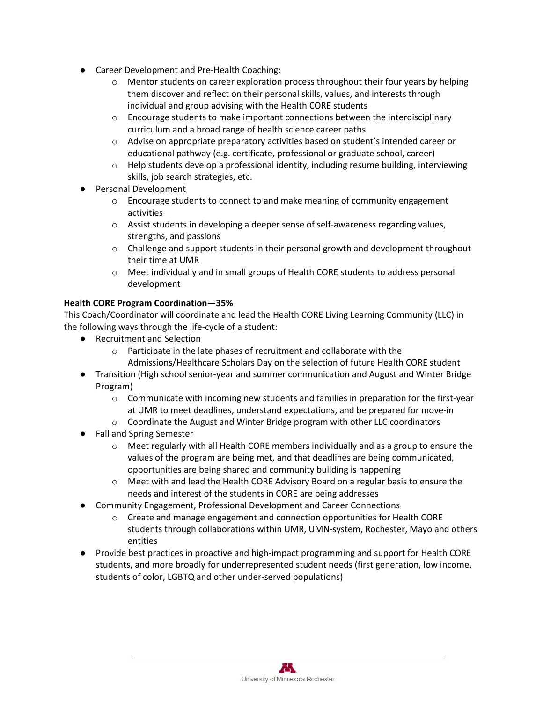- Career Development and Pre-Health Coaching:
	- o Mentor students on career exploration process throughout their four years by helping them discover and reflect on their personal skills, values, and interests through individual and group advising with the Health CORE students
	- $\circ$  Encourage students to make important connections between the interdisciplinary curriculum and a broad range of health science career paths
	- $\circ$  Advise on appropriate preparatory activities based on student's intended career or educational pathway (e.g. certificate, professional or graduate school, career)
	- $\circ$  Help students develop a professional identity, including resume building, interviewing skills, job search strategies, etc.
- Personal Development
	- $\circ$  Encourage students to connect to and make meaning of community engagement activities
	- $\circ$  Assist students in developing a deeper sense of self-awareness regarding values, strengths, and passions
	- $\circ$  Challenge and support students in their personal growth and development throughout their time at UMR
	- o Meet individually and in small groups of Health CORE students to address personal development

# **Health CORE Program Coordination—35%**

This Coach/Coordinator will coordinate and lead the Health CORE Living Learning Community (LLC) in the following ways through the life-cycle of a student:

- Recruitment and Selection
	- o Participate in the late phases of recruitment and collaborate with the Admissions/Healthcare Scholars Day on the selection of future Health CORE student
- Transition (High school senior-year and summer communication and August and Winter Bridge Program)
	- $\circ$  Communicate with incoming new students and families in preparation for the first-year at UMR to meet deadlines, understand expectations, and be prepared for move-in
	- o Coordinate the August and Winter Bridge program with other LLC coordinators
- **Fall and Spring Semester** 
	- $\circ$  Meet regularly with all Health CORE members individually and as a group to ensure the values of the program are being met, and that deadlines are being communicated, opportunities are being shared and community building is happening
	- $\circ$  Meet with and lead the Health CORE Advisory Board on a regular basis to ensure the needs and interest of the students in CORE are being addresses
- Community Engagement, Professional Development and Career Connections
	- $\circ$  Create and manage engagement and connection opportunities for Health CORE students through collaborations within UMR, UMN-system, Rochester, Mayo and others entities
- Provide best practices in proactive and high-impact programming and support for Health CORE students, and more broadly for underrepresented student needs (first generation, low income, students of color, LGBTQ and other under-served populations)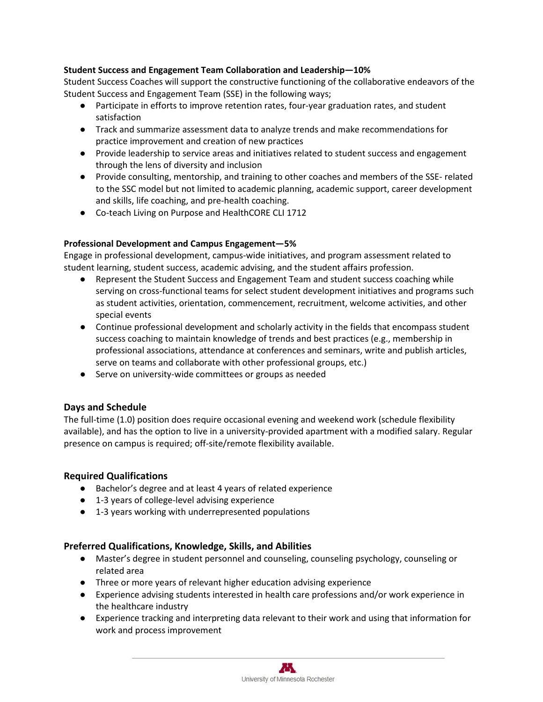#### **Student Success and Engagement Team Collaboration and Leadership—10%**

Student Success Coaches will support the constructive functioning of the collaborative endeavors of the Student Success and Engagement Team (SSE) in the following ways;

- Participate in efforts to improve retention rates, four-year graduation rates, and student satisfaction
- Track and summarize assessment data to analyze trends and make recommendations for practice improvement and creation of new practices
- Provide leadership to service areas and initiatives related to student success and engagement through the lens of diversity and inclusion
- Provide consulting, mentorship, and training to other coaches and members of the SSE- related to the SSC model but not limited to academic planning, academic support, career development and skills, life coaching, and pre-health coaching.
- Co-teach Living on Purpose and HealthCORE CLI 1712

#### **Professional Development and Campus Engagement—5%**

Engage in professional development, campus-wide initiatives, and program assessment related to student learning, student success, academic advising, and the student affairs profession.

- Represent the Student Success and Engagement Team and student success coaching while serving on cross-functional teams for select student development initiatives and programs such as student activities, orientation, commencement, recruitment, welcome activities, and other special events
- Continue professional development and scholarly activity in the fields that encompass student success coaching to maintain knowledge of trends and best practices (e.g., membership in professional associations, attendance at conferences and seminars, write and publish articles, serve on teams and collaborate with other professional groups, etc.)
- Serve on university-wide committees or groups as needed

# **Days and Schedule**

The full-time (1.0) position does require occasional evening and weekend work (schedule flexibility available), and has the option to live in a university-provided apartment with a modified salary. Regular presence on campus is required; off-site/remote flexibility available.

# **Required Qualifications**

- Bachelor's degree and at least 4 years of related experience
- 1-3 years of college-level advising experience
- 1-3 years working with underrepresented populations

# **Preferred Qualifications, Knowledge, Skills, and Abilities**

- Master's degree in student personnel and counseling, counseling psychology, counseling or related area
- Three or more years of relevant higher education advising experience
- Experience advising students interested in health care professions and/or work experience in the healthcare industry
- Experience tracking and interpreting data relevant to their work and using that information for work and process improvement